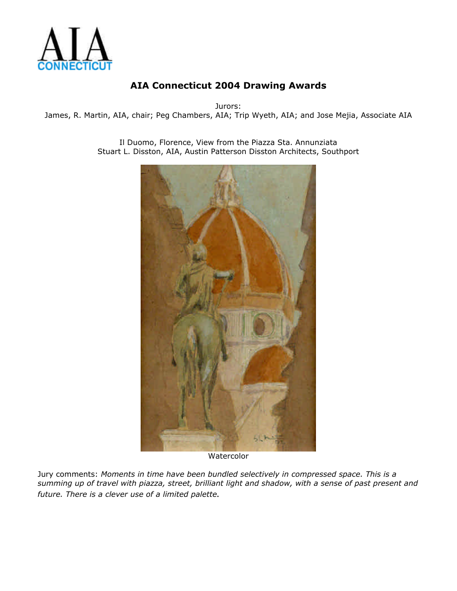

## **AIA Connecticut 2004 Drawing Awards**

Jurors:

James, R. Martin, AIA, chair; Peg Chambers, AIA; Trip Wyeth, AIA; and Jose Mejia, Associate AIA

Il Duomo, Florence, View from the Piazza Sta. Annunziata Stuart L. Disston, AIA, Austin Patterson Disston Architects, Southport



Watercolor

Jury comments: *Moments in time have been bundled selectively in compressed space. This is a summing up of travel with piazza, street, brilliant light and shadow, with a sense of past present and future. There is a clever use of a limited palette.*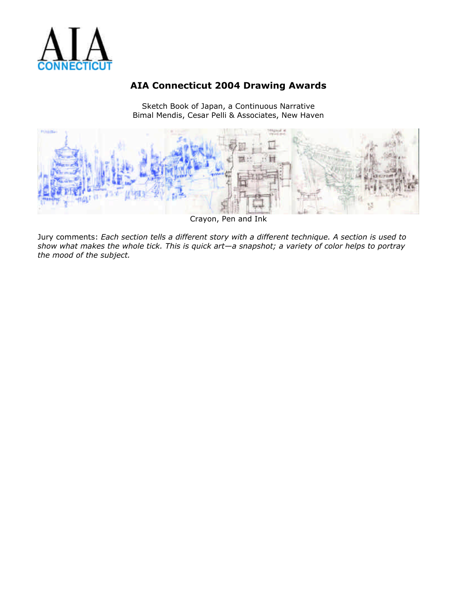

## **AIA Connecticut 2004 Drawing Awards**

Sketch Book of Japan, a Continuous Narrative Bimal Mendis, Cesar Pelli & Associates, New Haven



Crayon, Pen and Ink

Jury comments: *Each section tells a different story with a different technique. A section is used to show what makes the whole tick. This is quick art—a snapshot; a variety of color helps to portray the mood of the subject.*